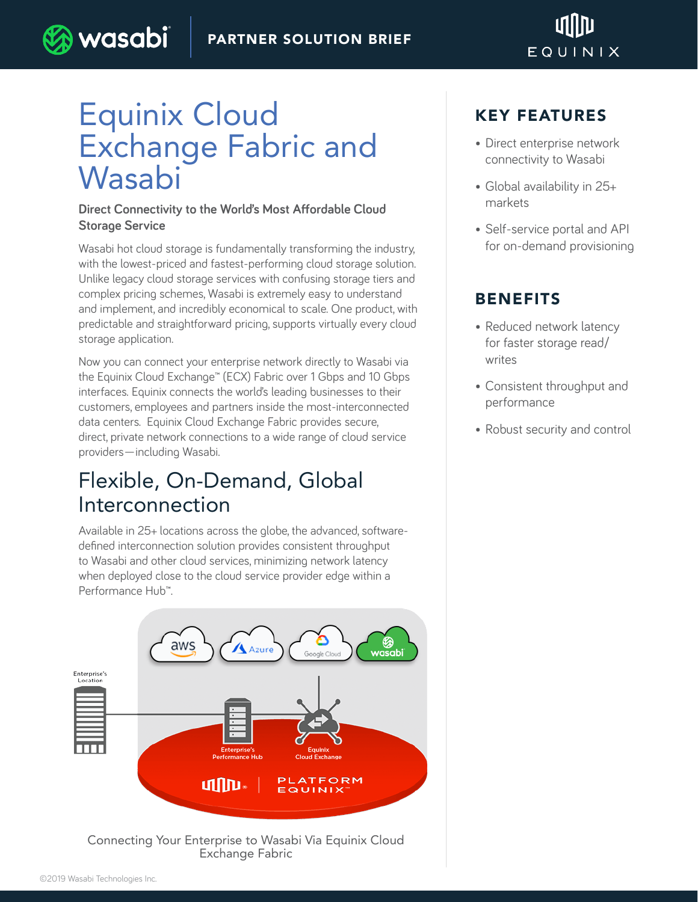#### PARTNER SOLUTION BRIEF



# Equinix Cloud Exchange Fabric and Wasabi

wasabi

#### **Direct Connectivity to the World's Most Affordable Cloud Storage Service**

Wasabi hot cloud storage is fundamentally transforming the industry, with the lowest-priced and fastest-performing cloud storage solution. Unlike legacy cloud storage services with confusing storage tiers and complex pricing schemes, Wasabi is extremely easy to understand and implement, and incredibly economical to scale. One product, with predictable and straightforward pricing, supports virtually every cloud storage application.

Now you can connect your enterprise network directly to Wasabi via the Equinix Cloud Exchange™ (ECX) Fabric over 1 Gbps and 10 Gbps interfaces. Equinix connects the world's leading businesses to their customers, employees and partners inside the most-interconnected data centers. Equinix Cloud Exchange Fabric provides secure, direct, private network connections to a wide range of cloud service providers—including Wasabi.

### Flexible, On-Demand, Global Interconnection

Available in 25+ locations across the globe, the advanced, softwaredefined interconnection solution provides consistent throughput to Wasabi and other cloud services, minimizing network latency when deployed close to the cloud service provider edge within a Performance Hub™.



Connecting Your Enterprise to Wasabi Via Equinix Cloud Exchange Fabric

### KEY FEATURES

- Direct enterprise network connectivity to Wasabi
- Global availability in 25+ markets
- Self-service portal and API for on-demand provisioning

### BENEFITS

- Reduced network latency for faster storage read/ writes
- Consistent throughput and performance
- Robust security and control